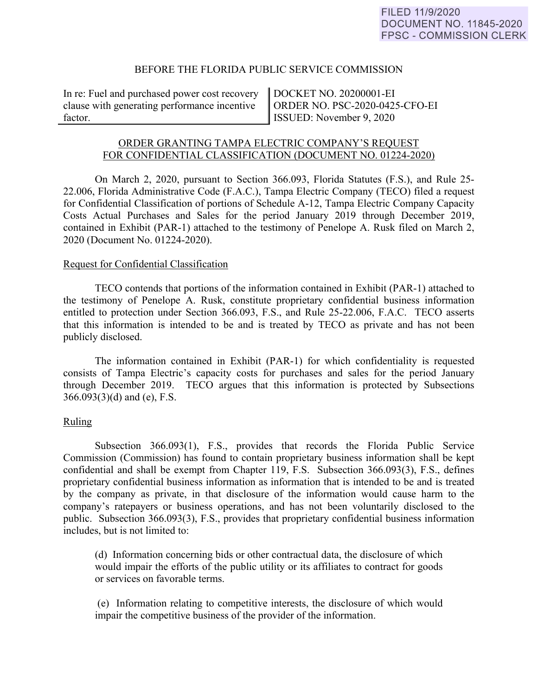## BEFORE THE FLORIDA PUBLIC SERVICE COMMISSION

In re: Fuel and purchased power cost recovery clause with generating performance incentive factor.

DOCKET NO. 20200001-EI ORDER NO. PSC-2020-0425-CFO-EI ISSUED: November 9, 2020

# ORDER GRANTING TAMPA ELECTRIC COMPANY'S REQUEST FOR CONFIDENTIAL CLASSIFICATION (DOCUMENT NO. 01224-2020)

On March 2, 2020, pursuant to Section 366.093, Florida Statutes (F.S.), and Rule 25- 22.006, Florida Administrative Code (F.A.C.), Tampa Electric Company (TECO) filed a request for Confidential Classification of portions of Schedule A-12, Tampa Electric Company Capacity Costs Actual Purchases and Sales for the period January 2019 through December 2019, contained in Exhibit (PAR-1) attached to the testimony of Penelope A. Rusk filed on March 2, 2020 (Document No. 01224-2020).

## Request for Confidential Classification

 TECO contends that portions of the information contained in Exhibit (PAR-1) attached to the testimony of Penelope A. Rusk, constitute proprietary confidential business information entitled to protection under Section 366.093, F.S., and Rule 25-22.006, F.A.C. TECO asserts that this information is intended to be and is treated by TECO as private and has not been publicly disclosed.

The information contained in Exhibit (PAR-1) for which confidentiality is requested consists of Tampa Electric's capacity costs for purchases and sales for the period January through December 2019. TECO argues that this information is protected by Subsections  $366.093(3)(d)$  and (e), F.S.

# Ruling

Subsection 366.093(1), F.S., provides that records the Florida Public Service Commission (Commission) has found to contain proprietary business information shall be kept confidential and shall be exempt from Chapter 119, F.S. Subsection 366.093(3), F.S., defines proprietary confidential business information as information that is intended to be and is treated by the company as private, in that disclosure of the information would cause harm to the company's ratepayers or business operations, and has not been voluntarily disclosed to the public. Subsection 366.093(3), F.S., provides that proprietary confidential business information includes, but is not limited to:

 (d) Information concerning bids or other contractual data, the disclosure of which would impair the efforts of the public utility or its affiliates to contract for goods or services on favorable terms.

 (e) Information relating to competitive interests, the disclosure of which would impair the competitive business of the provider of the information.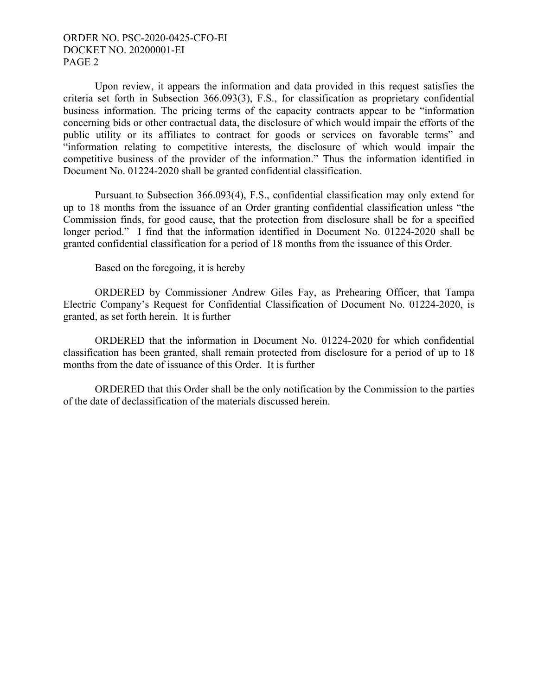# ORDER NO. PSC-2020-0425-CFO-EI DOCKET NO. 20200001-EI PAGE 2

 Upon review, it appears the information and data provided in this request satisfies the criteria set forth in Subsection 366.093(3), F.S., for classification as proprietary confidential business information. The pricing terms of the capacity contracts appear to be "information concerning bids or other contractual data, the disclosure of which would impair the efforts of the public utility or its affiliates to contract for goods or services on favorable terms" and "information relating to competitive interests, the disclosure of which would impair the competitive business of the provider of the information." Thus the information identified in Document No. 01224-2020 shall be granted confidential classification.

Pursuant to Subsection 366.093(4), F.S., confidential classification may only extend for up to 18 months from the issuance of an Order granting confidential classification unless "the Commission finds, for good cause, that the protection from disclosure shall be for a specified longer period." I find that the information identified in Document No. 01224-2020 shall be granted confidential classification for a period of 18 months from the issuance of this Order.

Based on the foregoing, it is hereby

 ORDERED by Commissioner Andrew Giles Fay, as Prehearing Officer, that Tampa Electric Company's Request for Confidential Classification of Document No. 01224-2020, is granted, as set forth herein. It is further

 ORDERED that the information in Document No. 01224-2020 for which confidential classification has been granted, shall remain protected from disclosure for a period of up to 18 months from the date of issuance of this Order. It is further

 ORDERED that this Order shall be the only notification by the Commission to the parties of the date of declassification of the materials discussed herein.